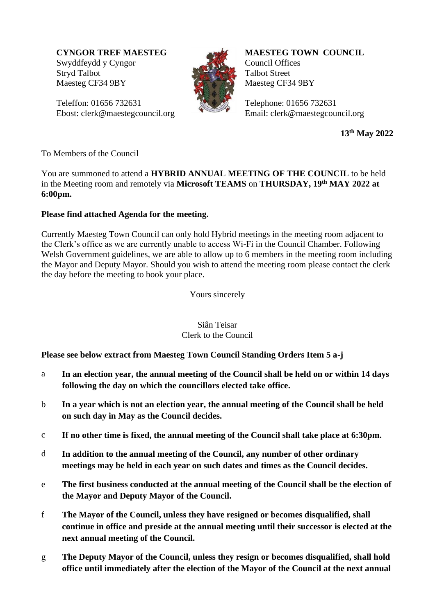Swyddfeydd y Cyngor Stryd Talbot Maesteg CF34 9BY

Teleffon: 01656 732631 Ebost: clerk@maestegcouncil.org



**MAESTEG TOWN COUNCIL** Council Offices Talbot Street Maesteg CF34 9BY

Telephone: 01656 732631 Email: clerk@maestegcouncil.org

**13 th May 2022**

To Members of the Council

You are summoned to attend a **HYBRID ANNUAL MEETING OF THE COUNCIL** to be held in the Meeting room and remotely via **Microsoft TEAMS** on **THURSDAY, 19 th MAY 2022 at 6:00pm.**

#### **Please find attached Agenda for the meeting.**

Currently Maesteg Town Council can only hold Hybrid meetings in the meeting room adjacent to the Clerk's office as we are currently unable to access Wi-Fi in the Council Chamber. Following Welsh Government guidelines, we are able to allow up to 6 members in the meeting room including the Mayor and Deputy Mayor. Should you wish to attend the meeting room please contact the clerk the day before the meeting to book your place. **CYCOR TREF MAESTEG**<br>
Society definites we also the council of the Council of the Council of the Tarto School Transformer of the Mayor Telefono: 01656 772631<br> **Council Offices**<br> **Council offices**<br> **Shower-clock-inmediately** 

Yours sincerely

#### Siân Teisar Clerk to the Council

**Please see below extract from Maesteg Town Council Standing Orders Item 5 a-j**

- a **In an election year, the annual meeting of the Council shall be held on or within 14 days following the day on which the councillors elected take office.**
- b **In a year which is not an election year, the annual meeting of the Council shall be held on such day in May as the Council decides.**
- c **If no other time is fixed, the annual meeting of the Council shall take place at 6:30pm.**
- d **In addition to the annual meeting of the Council, any number of other ordinary meetings may be held in each year on such dates and times as the Council decides.**
- e **The first business conducted at the annual meeting of the Council shall be the election of the Mayor and Deputy Mayor of the Council.**
- f **The Mayor of the Council, unless they have resigned or becomes disqualified, shall continue in office and preside at the annual meeting until their successor is elected at the next annual meeting of the Council.**
- g **The Deputy Mayor of the Council, unless they resign or becomes disqualified, shall hold**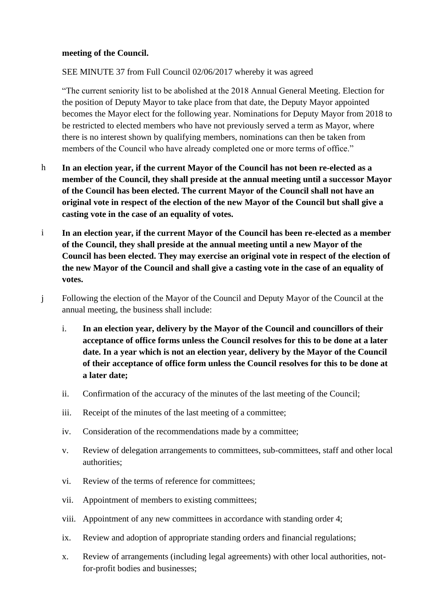#### **meeting of the Council.**

SEE MINUTE 37 from Full Council 02/06/2017 whereby it was agreed

"The current seniority list to be abolished at the 2018 Annual General Meeting. Election for the position of Deputy Mayor to take place from that date, the Deputy Mayor appointed becomes the Mayor elect for the following year. Nominations for Deputy Mayor from 2018 to be restricted to elected members who have not previously served a term as Mayor, where there is no interest shown by qualifying members, nominations can then be taken from members of the Council who have already completed one or more terms of office."

- h **In an election year, if the current Mayor of the Council has not been re-elected as a member of the Council, they shall preside at the annual meeting until a successor Mayor of the Council has been elected. The current Mayor of the Council shall not have an original vote in respect of the election of the new Mayor of the Council but shall give a casting vote in the case of an equality of votes.**
- i **In an election year, if the current Mayor of the Council has been re-elected as a member of the Council, they shall preside at the annual meeting until a new Mayor of the Council has been elected. They may exercise an original vote in respect of the election of the new Mayor of the Council and shall give a casting vote in the case of an equality of votes.**
- j Following the election of the Mayor of the Council and Deputy Mayor of the Council at the annual meeting, the business shall include:
	- i. **In an election year, delivery by the Mayor of the Council and councillors of their acceptance of office forms unless the Council resolves for this to be done at a later date. In a year which is not an election year, delivery by the Mayor of the Council of their acceptance of office form unless the Council resolves for this to be done at a later date;**
	- ii. Confirmation of the accuracy of the minutes of the last meeting of the Council;
	- iii. Receipt of the minutes of the last meeting of a committee;
	- iv. Consideration of the recommendations made by a committee;
	- v. Review of delegation arrangements to committees, sub-committees, staff and other local authorities;
	- vi. Review of the terms of reference for committees;
	- vii. Appointment of members to existing committees;
	- viii. Appointment of any new committees in accordance with standing order 4;
	- ix. Review and adoption of appropriate standing orders and financial regulations;
	- x. Review of arrangements (including legal agreements) with other local authorities, notfor-profit bodies and businesses;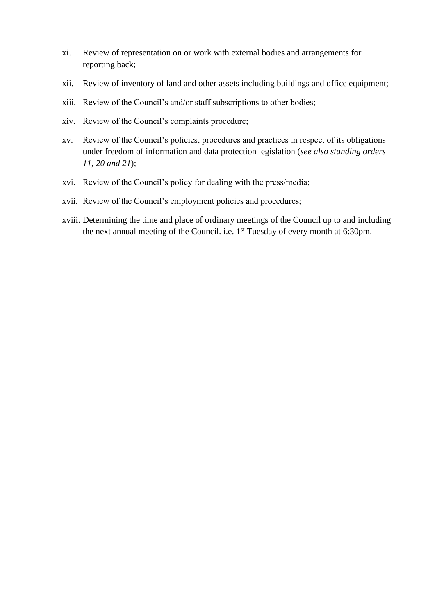- xi. Review of representation on or work with external bodies and arrangements for reporting back;
- xii. Review of inventory of land and other assets including buildings and office equipment;
- xiii. Review of the Council's and/or staff subscriptions to other bodies;
- xiv. Review of the Council's complaints procedure;
- xv. Review of the Council's policies, procedures and practices in respect of its obligations under freedom of information and data protection legislation (*see also standing orders 11, 20 and 21*);
- xvi. Review of the Council's policy for dealing with the press/media;
- xvii. Review of the Council's employment policies and procedures;
- xviii. Determining the time and place of ordinary meetings of the Council up to and including the next annual meeting of the Council. i.e. 1<sup>st</sup> Tuesday of every month at 6:30pm.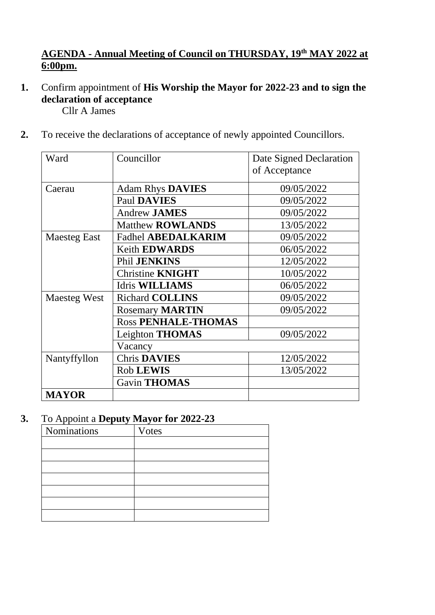## **AGENDA - Annual Meeting of Council on THURSDAY, 19th MAY 2022 at 6:00pm.**

**1.** Confirm appointment of **His Worship the Mayor for 2022-23 and to sign the declaration of acceptance**

Cllr A James

**2.** To receive the declarations of acceptance of newly appointed Councillors.

| Ward                | Councillor                 | Date Signed Declaration<br>of Acceptance |
|---------------------|----------------------------|------------------------------------------|
| Caerau              | <b>Adam Rhys DAVIES</b>    | 09/05/2022                               |
|                     | <b>Paul DAVIES</b>         | 09/05/2022                               |
|                     | <b>Andrew JAMES</b>        | 09/05/2022                               |
|                     | <b>Matthew ROWLANDS</b>    | 13/05/2022                               |
| <b>Maesteg East</b> | <b>Fadhel ABEDALKARIM</b>  | 09/05/2022                               |
|                     | <b>Keith EDWARDS</b>       | 06/05/2022                               |
|                     | Phil JENKINS               | 12/05/2022                               |
|                     | <b>Christine KNIGHT</b>    | 10/05/2022                               |
|                     | Idris WILLIAMS             | 06/05/2022                               |
| <b>Maesteg West</b> | <b>Richard COLLINS</b>     | 09/05/2022                               |
|                     | <b>Rosemary MARTIN</b>     | 09/05/2022                               |
|                     | <b>Ross PENHALE-THOMAS</b> |                                          |
|                     | Leighton THOMAS            | 09/05/2022                               |
|                     | Vacancy                    |                                          |
| Nantyffyllon        | <b>Chris DAVIES</b>        | 12/05/2022                               |
|                     | <b>Rob LEWIS</b>           | 13/05/2022                               |
|                     | Gavin THOMAS               |                                          |
| <b>MAYOR</b>        |                            |                                          |

## **3.** To Appoint a **Deputy Mayor for 2022-23**

| Nominations | <b>Votes</b> |
|-------------|--------------|
|             |              |
|             |              |
|             |              |
|             |              |
|             |              |
|             |              |
|             |              |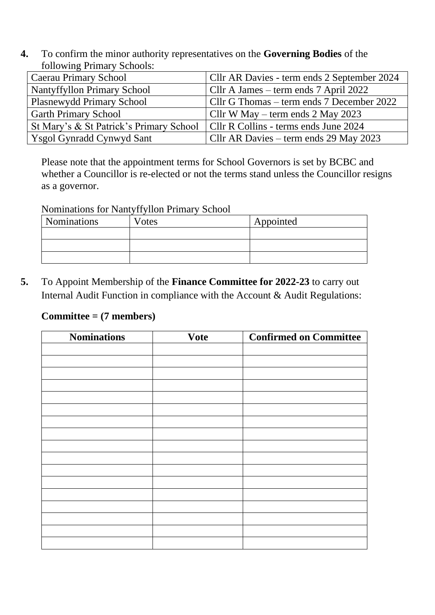**4.** To confirm the minor authority representatives on the **Governing Bodies** of the following Primary Schools:

| <b>Caerau Primary School</b>                                                    | Cllr AR Davies - term ends 2 September 2024 |
|---------------------------------------------------------------------------------|---------------------------------------------|
| Nantyffyllon Primary School                                                     | Cllr A James – term ends 7 April 2022       |
| <b>Plasnewydd Primary School</b>                                                | Cllr G Thomas – term ends 7 December 2022   |
| <b>Garth Primary School</b>                                                     | Cllr W May – term ends $2$ May 2023         |
| St Mary's & St Patrick's Primary School   Cllr R Collins - terms ends June 2024 |                                             |
| Ysgol Gynradd Cynwyd Sant                                                       | Cllr AR Davies – term ends 29 May 2023      |

Please note that the appointment terms for School Governors is set by BCBC and whether a Councillor is re-elected or not the terms stand unless the Councillor resigns as a governor.

Nominations for Nantyffyllon Primary School

| <b>Nominations</b> | Votes | Appointed |
|--------------------|-------|-----------|
|                    |       |           |
|                    |       |           |
|                    |       |           |

**5.** To Appoint Membership of the **Finance Committee for 2022-23** to carry out Internal Audit Function in compliance with the Account & Audit Regulations:

## **Committee = (7 members)**

| <b>Nominations</b> | <b>Vote</b> | <b>Confirmed on Committee</b> |
|--------------------|-------------|-------------------------------|
|                    |             |                               |
|                    |             |                               |
|                    |             |                               |
|                    |             |                               |
|                    |             |                               |
|                    |             |                               |
|                    |             |                               |
|                    |             |                               |
|                    |             |                               |
|                    |             |                               |
|                    |             |                               |
|                    |             |                               |
|                    |             |                               |
|                    |             |                               |
|                    |             |                               |
|                    |             |                               |
|                    |             |                               |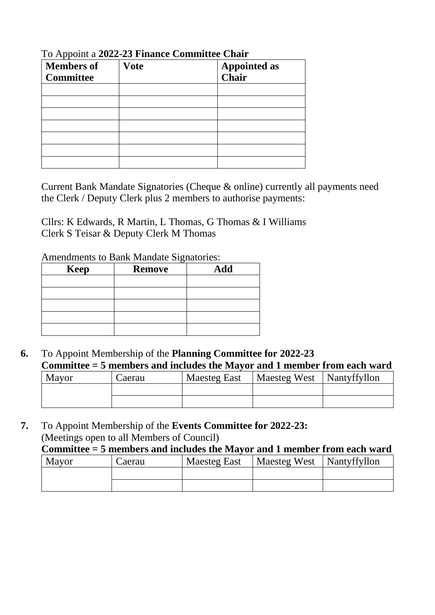| <b>Members of</b><br><b>Committee</b> | <b>Vote</b> | <b>Appointed as</b><br>Chair |
|---------------------------------------|-------------|------------------------------|
|                                       |             |                              |
|                                       |             |                              |
|                                       |             |                              |
|                                       |             |                              |
|                                       |             |                              |
|                                       |             |                              |
|                                       |             |                              |

To Appoint a **2022-23 Finance Committee Chair**

Current Bank Mandate Signatories (Cheque & online) currently all payments need the Clerk / Deputy Clerk plus 2 members to authorise payments:

Cllrs: K Edwards, R Martin, L Thomas, G Thomas & I Williams Clerk S Teisar & Deputy Clerk M Thomas

Amendments to Bank Mandate Signatories:

| <b>Keep</b> | ັ<br><b>Remove</b> | Add |
|-------------|--------------------|-----|
|             |                    |     |
|             |                    |     |
|             |                    |     |
|             |                    |     |
|             |                    |     |

**6.** To Appoint Membership of the **Planning Committee for 2022-23 Committee = 5 members and includes the Mayor and 1 member from each ward** 

| Mayor | Caerau | <b>Maesteg East</b> | Maesteg West   Nantyffyllon |  |
|-------|--------|---------------------|-----------------------------|--|
|       |        |                     |                             |  |
|       |        |                     |                             |  |

**7.** To Appoint Membership of the **Events Committee for 2022-23:**  (Meetings open to all Members of Council)

**Committee = 5 members and includes the Mayor and 1 member from each ward** 

| <b>Mayor</b> | Caerau | <b>Maesteg East</b> | Maesteg West | Nantyffyllon |
|--------------|--------|---------------------|--------------|--------------|
|              |        |                     |              |              |
|              |        |                     |              |              |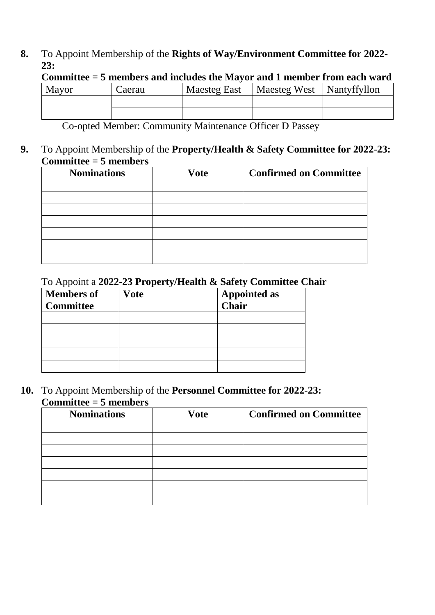**8.** To Appoint Membership of the **Rights of Way/Environment Committee for 2022- 23:**

| Committee = 5 members and includes the Mayor and 1 member from each ward |        |                     |                             |  |  |
|--------------------------------------------------------------------------|--------|---------------------|-----------------------------|--|--|
| Mayor                                                                    | Caerau | <b>Maesteg East</b> | Maesteg West   Nantyffyllon |  |  |
|                                                                          |        |                     |                             |  |  |
|                                                                          |        |                     |                             |  |  |

**Committee = 5 members and includes the Mayor and 1 member from each ward** 

Co-opted Member: Community Maintenance Officer D Passey

**9.** To Appoint Membership of the **Property/Health & Safety Committee for 2022-23: Committee = 5 members**

| <b>Nominations</b> | <b>Vote</b> | <b>Confirmed on Committee</b> |
|--------------------|-------------|-------------------------------|
|                    |             |                               |
|                    |             |                               |
|                    |             |                               |
|                    |             |                               |
|                    |             |                               |
|                    |             |                               |
|                    |             |                               |

# To Appoint a **2022-23 Property/Health & Safety Committee Chair**

| <b>Members of</b><br><b>Committee</b> | <b>Vote</b> | <b>Appointed as</b><br>Chair |
|---------------------------------------|-------------|------------------------------|
|                                       |             |                              |
|                                       |             |                              |
|                                       |             |                              |
|                                       |             |                              |
|                                       |             |                              |

**10.** To Appoint Membership of the **Personnel Committee for 2022-23: Committee = 5 members**

| <b>Nominations</b> | <b>Vote</b> | <b>Confirmed on Committee</b> |
|--------------------|-------------|-------------------------------|
|                    |             |                               |
|                    |             |                               |
|                    |             |                               |
|                    |             |                               |
|                    |             |                               |
|                    |             |                               |
|                    |             |                               |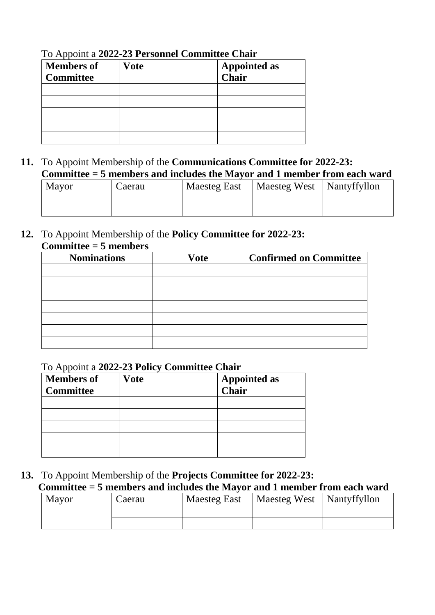| <b>Members of</b><br><b>Committee</b> | <b>Vote</b> | <b>Appointed as<br/>Chair</b> |
|---------------------------------------|-------------|-------------------------------|
|                                       |             |                               |
|                                       |             |                               |
|                                       |             |                               |
|                                       |             |                               |
|                                       |             |                               |

To Appoint a **2022-23 Personnel Committee Chair**

**11.** To Appoint Membership of the **Communications Committee for 2022-23: Committee = 5 members and includes the Mayor and 1 member from each ward** 

| Mayor | Caerau | <b>Maesteg East</b> | <b>Maesteg West</b> | Nantyffyllon |
|-------|--------|---------------------|---------------------|--------------|
|       |        |                     |                     |              |
|       |        |                     |                     |              |

**12.** To Appoint Membership of the **Policy Committee for 2022-23: Committee = 5 members**

| <b>Nominations</b> | <b>Vote</b> | <b>Confirmed on Committee</b> |
|--------------------|-------------|-------------------------------|
|                    |             |                               |
|                    |             |                               |
|                    |             |                               |
|                    |             |                               |
|                    |             |                               |
|                    |             |                               |
|                    |             |                               |

## To Appoint a **2022-23 Policy Committee Chair**

| <b>Members of</b><br><b>Committee</b> | <b>Vote</b> | <b>Appointed as</b><br>Chair |
|---------------------------------------|-------------|------------------------------|
|                                       |             |                              |
|                                       |             |                              |
|                                       |             |                              |
|                                       |             |                              |
|                                       |             |                              |

**13.** To Appoint Membership of the **Projects Committee for 2022-23: Committee = 5 members and includes the Mayor and 1 member from each ward** 

| Mayor | Caerau | Maesteg East | Maesteg West   Nantyffyllon |  |
|-------|--------|--------------|-----------------------------|--|
|       |        |              |                             |  |
|       |        |              |                             |  |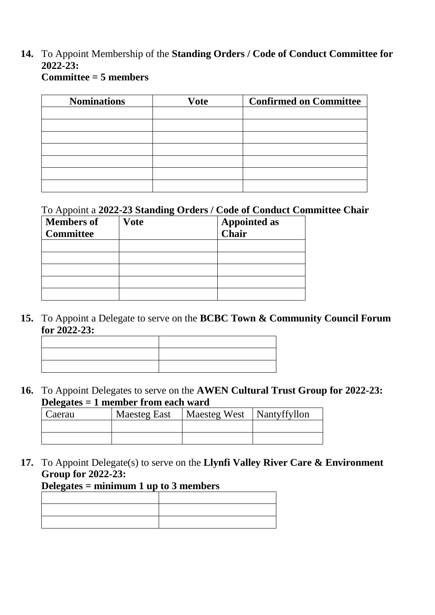# **14.** To Appoint Membership of the **Standing Orders / Code of Conduct Committee for 2022-23:**

| <b>Nominations</b> | <b>Vote</b> | <b>Confirmed on Committee</b> |
|--------------------|-------------|-------------------------------|
|                    |             |                               |
|                    |             |                               |
|                    |             |                               |
|                    |             |                               |
|                    |             |                               |
|                    |             |                               |
|                    |             |                               |

### To Appoint a **2022-23 Standing Orders / Code of Conduct Committee Chair**

| <b>Members of</b> | <b>Vote</b> | <b>Appointed as<br/>Chair</b> |
|-------------------|-------------|-------------------------------|
| <b>Committee</b>  |             |                               |
|                   |             |                               |
|                   |             |                               |
|                   |             |                               |
|                   |             |                               |
|                   |             |                               |

**15.** To Appoint a Delegate to serve on the **BCBC Town & Community Council Forum for 2022-23:** 

**16.** To Appoint Delegates to serve on the **AWEN Cultural Trust Group for 2022-23: Delegates = 1 member from each ward** 

| Caerau | <b>Maesteg East</b> | Maesteg West   Nantyffyllon |  |
|--------|---------------------|-----------------------------|--|
|        |                     |                             |  |
|        |                     |                             |  |

**17.** To Appoint Delegate(s) to serve on the **Llynfi Valley River Care & Environment Group for 2022-23:** 

# **Delegates = minimum 1 up to 3 members**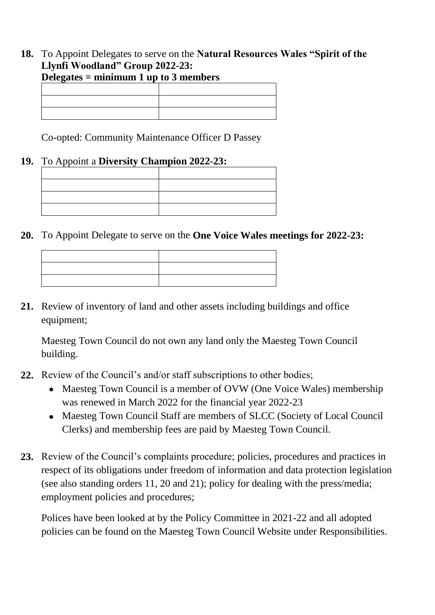#### **18.** To Appoint Delegates to serve on the **Natural Resources Wales "Spirit of the Llynfi Woodland" Group 2022-23: Delegates = minimum 1 up to 3 members**

Co-opted: Community Maintenance Officer D Passey

## **19.** To Appoint a **Diversity Champion 2022-23:**

**20.** To Appoint Delegate to serve on the **One Voice Wales meetings for 2022-23:**

| <u> 2008 - Andrea Andrew Amerikaanse kommunister († 2008)</u>                                                                                                                                                                 |                                                                                                                                                                                                                               |
|-------------------------------------------------------------------------------------------------------------------------------------------------------------------------------------------------------------------------------|-------------------------------------------------------------------------------------------------------------------------------------------------------------------------------------------------------------------------------|
|                                                                                                                                                                                                                               |                                                                                                                                                                                                                               |
| the contract of the contract of the contract of the contract of the contract of                                                                                                                                               | the control of the control of the control of the control of the control of the control of the control of the control of the control of the control of the control of the control of the control of the control of the control |
| the control of the control of the control of the control of the control of the control of the control of the control of the control of the control of the control of the control of the control of the control of the control |                                                                                                                                                                                                                               |

**21.** Review of inventory of land and other assets including buildings and office equipment;

Maesteg Town Council do not own any land only the Maesteg Town Council building.

- **22.** Review of the Council's and/or staff subscriptions to other bodies;
	- Maesteg Town Council is a member of OVW (One Voice Wales) membership was renewed in March 2022 for the financial year 2022-23
	- Maesteg Town Council Staff are members of SLCC (Society of Local Council Clerks) and membership fees are paid by Maesteg Town Council.
- **23.** Review of the Council's complaints procedure; policies, procedures and practices in respect of its obligations under freedom of information and data protection legislation (see also standing orders 11, 20 and 21); policy for dealing with the press/media; employment policies and procedures;

Polices have been looked at by the Policy Committee in 2021-22 and all adopted policies can be found on the Maesteg Town Council Website under Responsibilities.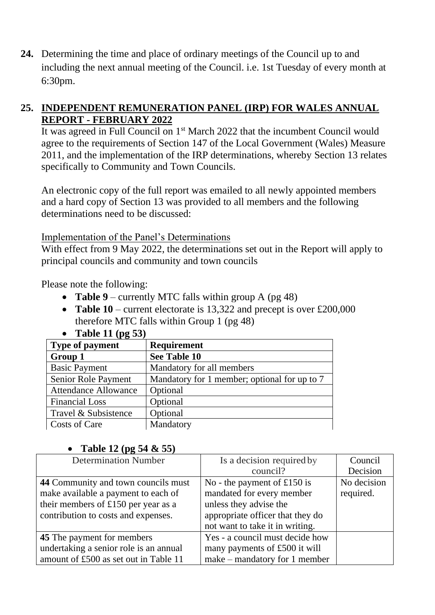**24.** Determining the time and place of ordinary meetings of the Council up to and including the next annual meeting of the Council. i.e. 1st Tuesday of every month at 6:30pm.

## **25. INDEPENDENT REMUNERATION PANEL (IRP) FOR WALES ANNUAL REPORT - FEBRUARY 2022**

It was agreed in Full Council on 1st March 2022 that the incumbent Council would agree to the requirements of Section 147 of the Local Government (Wales) Measure 2011, and the implementation of the IRP determinations, whereby Section 13 relates specifically to Community and Town Councils.

An electronic copy of the full report was emailed to all newly appointed members and a hard copy of Section 13 was provided to all members and the following determinations need to be discussed:

Implementation of the Panel's Determinations

With effect from 9 May 2022, the determinations set out in the Report will apply to principal councils and community and town councils

Please note the following:

- **Table 9** currently MTC falls within group A (pg 48)
- **Table 10** current electorate is 13,322 and precept is over £200,000 therefore MTC falls within Group 1 (pg 48)

| $\bullet$<br><b>Lable 11 (pg 33)</b> |                                              |
|--------------------------------------|----------------------------------------------|
| <b>Type of payment</b>               | <b>Requirement</b>                           |
| Group 1                              | See Table 10                                 |
| <b>Basic Payment</b>                 | Mandatory for all members                    |
| Senior Role Payment                  | Mandatory for 1 member; optional for up to 7 |
| <b>Attendance Allowance</b>          | Optional                                     |
| <b>Financial Loss</b>                | Optional                                     |
| Travel & Subsistence                 | Optional                                     |
| Costs of Care                        | Mandatory                                    |
|                                      |                                              |

# • **Table 11 (pg 53)**

## • **Table 12 (pg 54 & 55)**

| <b>Determination Number</b>            | Is a decision required by        | Council     |
|----------------------------------------|----------------------------------|-------------|
|                                        | council?                         | Decision    |
| 44 Community and town councils must    | No - the payment of £150 is      | No decision |
| make available a payment to each of    | mandated for every member        | required.   |
| their members of £150 per year as a    | unless they advise the           |             |
| contribution to costs and expenses.    | appropriate officer that they do |             |
|                                        | not want to take it in writing.  |             |
| <b>45</b> The payment for members      | Yes - a council must decide how  |             |
| undertaking a senior role is an annual | many payments of £500 it will    |             |
| amount of £500 as set out in Table 11  | make – mandatory for 1 member    |             |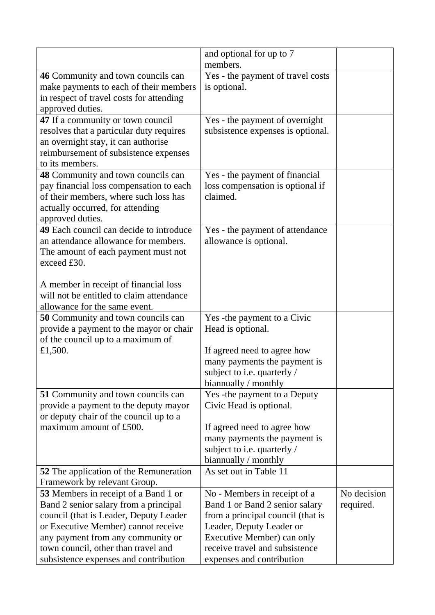|                                                                                                                                                                                                                                                                                     | and optional for up to 7<br>members.                                                                                                                                                                                         |                          |
|-------------------------------------------------------------------------------------------------------------------------------------------------------------------------------------------------------------------------------------------------------------------------------------|------------------------------------------------------------------------------------------------------------------------------------------------------------------------------------------------------------------------------|--------------------------|
| 46 Community and town councils can<br>make payments to each of their members<br>in respect of travel costs for attending<br>approved duties.                                                                                                                                        | Yes - the payment of travel costs<br>is optional.                                                                                                                                                                            |                          |
| 47 If a community or town council<br>resolves that a particular duty requires<br>an overnight stay, it can authorise<br>reimbursement of subsistence expenses<br>to its members.                                                                                                    | Yes - the payment of overnight<br>subsistence expenses is optional.                                                                                                                                                          |                          |
| 48 Community and town councils can<br>pay financial loss compensation to each<br>of their members, where such loss has<br>actually occurred, for attending<br>approved duties.                                                                                                      | Yes - the payment of financial<br>loss compensation is optional if<br>claimed.                                                                                                                                               |                          |
| 49 Each council can decide to introduce<br>an attendance allowance for members.<br>The amount of each payment must not<br>exceed £30.                                                                                                                                               | Yes - the payment of attendance<br>allowance is optional.                                                                                                                                                                    |                          |
| A member in receipt of financial loss<br>will not be entitled to claim attendance<br>allowance for the same event.                                                                                                                                                                  |                                                                                                                                                                                                                              |                          |
| 50 Community and town councils can<br>provide a payment to the mayor or chair<br>of the council up to a maximum of<br>£1,500.                                                                                                                                                       | Yes - the payment to a Civic<br>Head is optional.<br>If agreed need to agree how<br>many payments the payment is<br>subject to i.e. quarterly /<br>biannually / monthly                                                      |                          |
| 51 Community and town councils can<br>provide a payment to the deputy mayor<br>or deputy chair of the council up to a<br>maximum amount of £500.                                                                                                                                    | Yes - the payment to a Deputy<br>Civic Head is optional.<br>If agreed need to agree how<br>many payments the payment is<br>subject to i.e. quarterly /<br>biannually / monthly                                               |                          |
| <b>52</b> The application of the Remuneration<br>Framework by relevant Group.                                                                                                                                                                                                       | As set out in Table 11                                                                                                                                                                                                       |                          |
| 53 Members in receipt of a Band 1 or<br>Band 2 senior salary from a principal<br>council (that is Leader, Deputy Leader<br>or Executive Member) cannot receive<br>any payment from any community or<br>town council, other than travel and<br>subsistence expenses and contribution | No - Members in receipt of a<br>Band 1 or Band 2 senior salary<br>from a principal council (that is<br>Leader, Deputy Leader or<br>Executive Member) can only<br>receive travel and subsistence<br>expenses and contribution | No decision<br>required. |